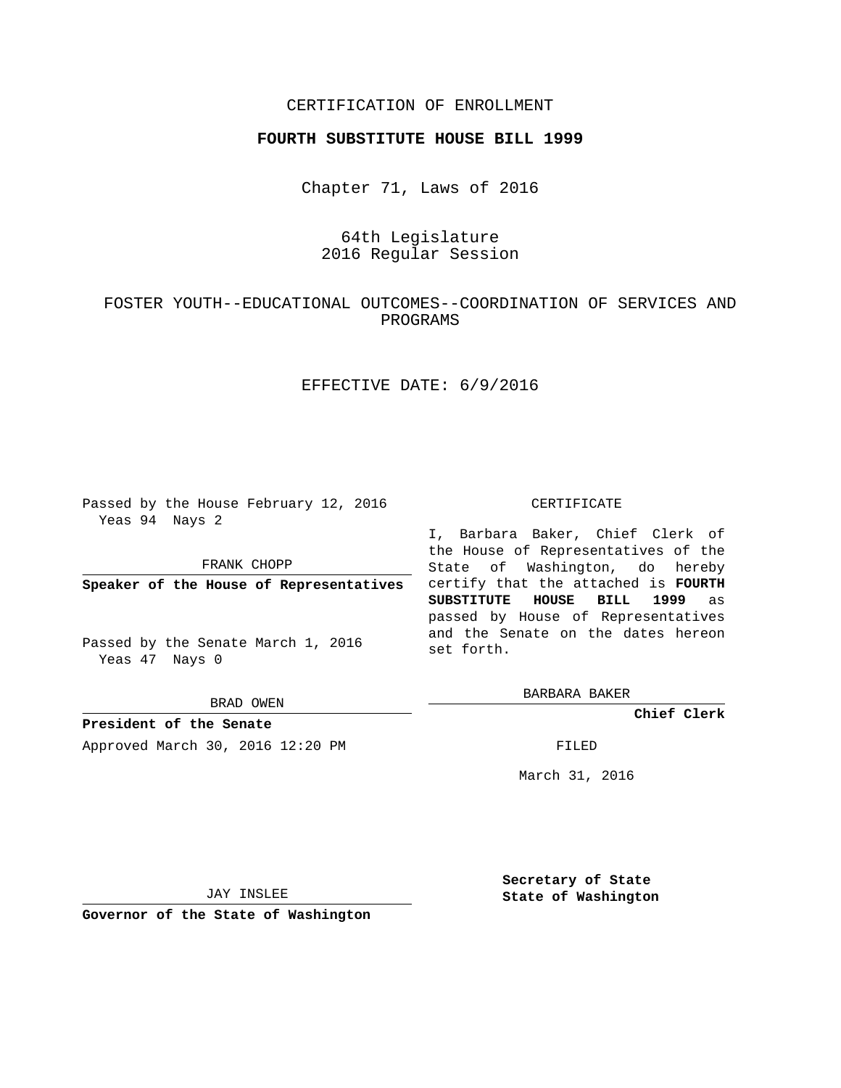## CERTIFICATION OF ENROLLMENT

### **FOURTH SUBSTITUTE HOUSE BILL 1999**

Chapter 71, Laws of 2016

# 64th Legislature 2016 Regular Session

# FOSTER YOUTH--EDUCATIONAL OUTCOMES--COORDINATION OF SERVICES AND PROGRAMS

## EFFECTIVE DATE: 6/9/2016

Passed by the House February 12, 2016 Yeas 94 Nays 2

FRANK CHOPP

**Speaker of the House of Representatives**

Passed by the Senate March 1, 2016 Yeas 47 Nays 0

BRAD OWEN

**President of the Senate** Approved March 30, 2016 12:20 PM FILED

#### CERTIFICATE

I, Barbara Baker, Chief Clerk of the House of Representatives of the State of Washington, do hereby certify that the attached is **FOURTH SUBSTITUTE HOUSE BILL 1999** as passed by House of Representatives and the Senate on the dates hereon set forth.

BARBARA BAKER

**Chief Clerk**

March 31, 2016

JAY INSLEE

**Governor of the State of Washington**

**Secretary of State State of Washington**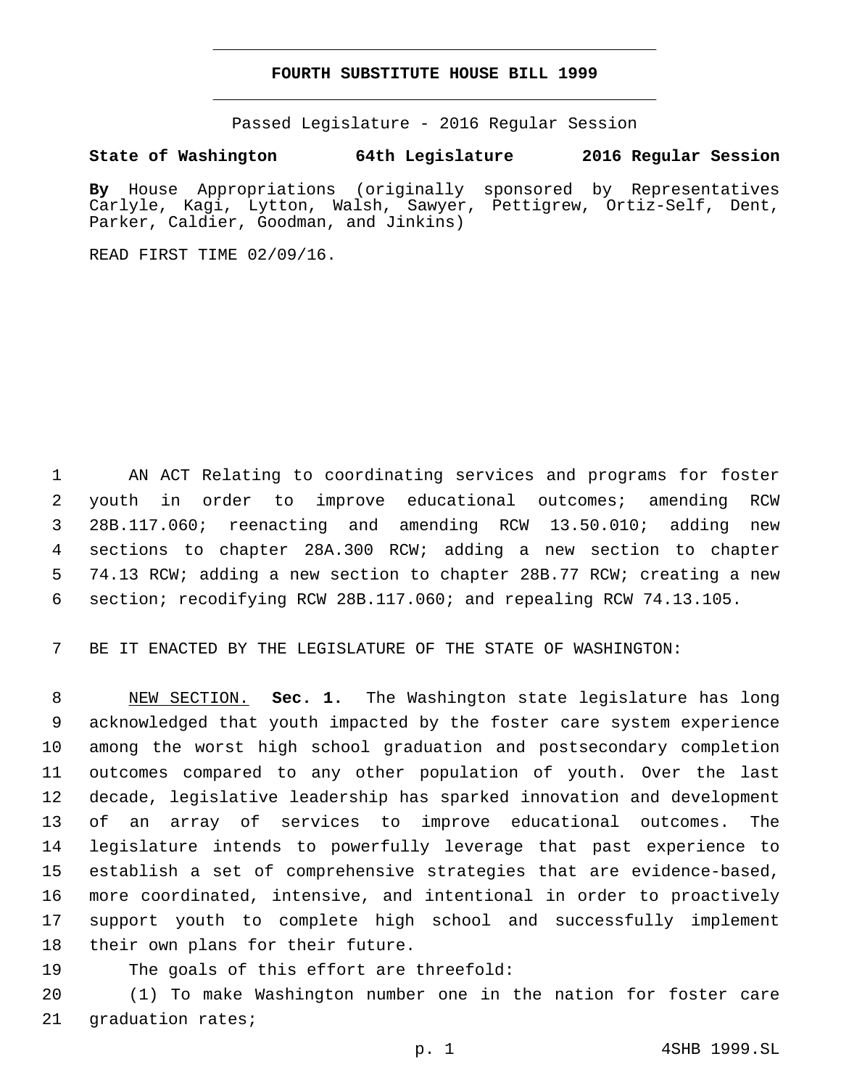### **FOURTH SUBSTITUTE HOUSE BILL 1999**

Passed Legislature - 2016 Regular Session

## **State of Washington 64th Legislature 2016 Regular Session**

**By** House Appropriations (originally sponsored by Representatives Carlyle, Kagi, Lytton, Walsh, Sawyer, Pettigrew, Ortiz-Self, Dent, Parker, Caldier, Goodman, and Jinkins)

READ FIRST TIME 02/09/16.

 AN ACT Relating to coordinating services and programs for foster youth in order to improve educational outcomes; amending RCW 28B.117.060; reenacting and amending RCW 13.50.010; adding new sections to chapter 28A.300 RCW; adding a new section to chapter 74.13 RCW; adding a new section to chapter 28B.77 RCW; creating a new section; recodifying RCW 28B.117.060; and repealing RCW 74.13.105.

BE IT ENACTED BY THE LEGISLATURE OF THE STATE OF WASHINGTON:

 NEW SECTION. **Sec. 1.** The Washington state legislature has long acknowledged that youth impacted by the foster care system experience among the worst high school graduation and postsecondary completion outcomes compared to any other population of youth. Over the last decade, legislative leadership has sparked innovation and development of an array of services to improve educational outcomes. The legislature intends to powerfully leverage that past experience to establish a set of comprehensive strategies that are evidence-based, more coordinated, intensive, and intentional in order to proactively support youth to complete high school and successfully implement their own plans for their future.

19 The goals of this effort are threefold:

 (1) To make Washington number one in the nation for foster care 21 graduation rates;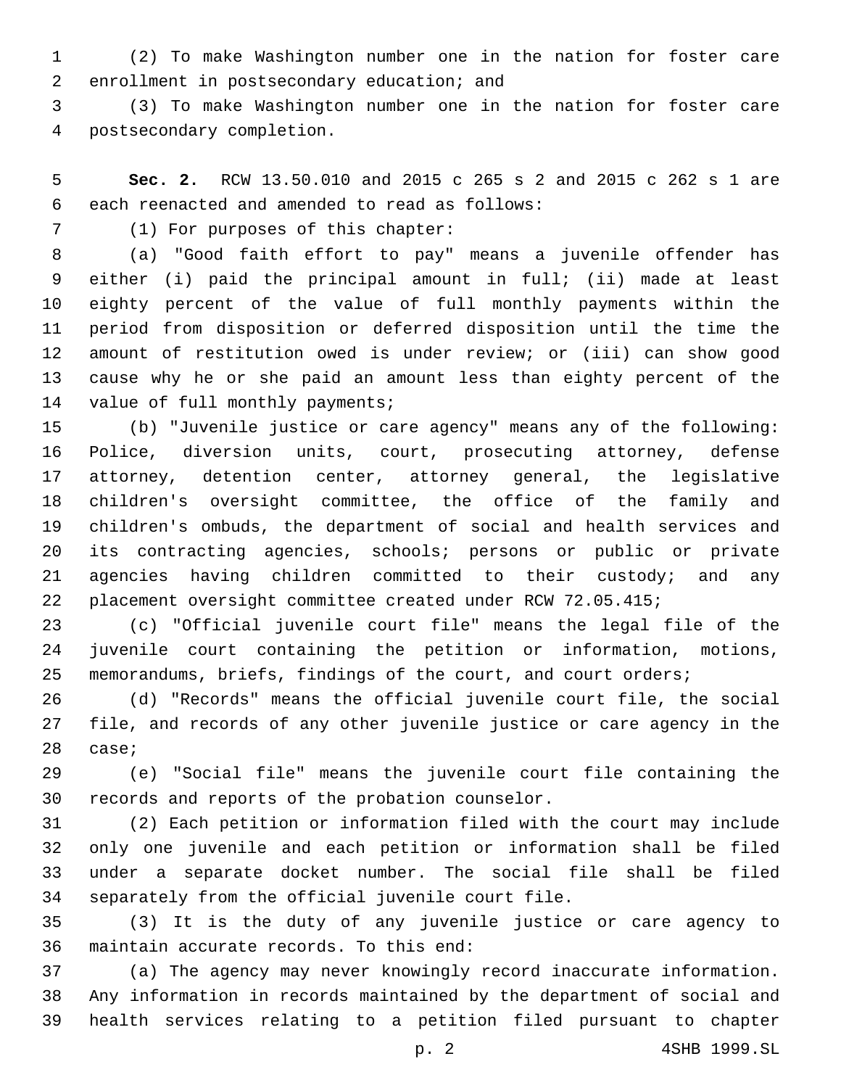(2) To make Washington number one in the nation for foster care 2 enrollment in postsecondary education; and

 (3) To make Washington number one in the nation for foster care postsecondary completion.4

 **Sec. 2.** RCW 13.50.010 and 2015 c 265 s 2 and 2015 c 262 s 1 are 6 each reenacted and amended to read as follows:

7 (1) For purposes of this chapter:

 (a) "Good faith effort to pay" means a juvenile offender has either (i) paid the principal amount in full; (ii) made at least eighty percent of the value of full monthly payments within the period from disposition or deferred disposition until the time the amount of restitution owed is under review; or (iii) can show good cause why he or she paid an amount less than eighty percent of the 14 value of full monthly payments;

 (b) "Juvenile justice or care agency" means any of the following: Police, diversion units, court, prosecuting attorney, defense attorney, detention center, attorney general, the legislative children's oversight committee, the office of the family and children's ombuds, the department of social and health services and its contracting agencies, schools; persons or public or private agencies having children committed to their custody; and any placement oversight committee created under RCW 72.05.415;

 (c) "Official juvenile court file" means the legal file of the juvenile court containing the petition or information, motions, memorandums, briefs, findings of the court, and court orders;

 (d) "Records" means the official juvenile court file, the social file, and records of any other juvenile justice or care agency in the 28 case;

 (e) "Social file" means the juvenile court file containing the 30 records and reports of the probation counselor.

 (2) Each petition or information filed with the court may include only one juvenile and each petition or information shall be filed under a separate docket number. The social file shall be filed 34 separately from the official juvenile court file.

 (3) It is the duty of any juvenile justice or care agency to 36 maintain accurate records. To this end:

 (a) The agency may never knowingly record inaccurate information. Any information in records maintained by the department of social and health services relating to a petition filed pursuant to chapter

p. 2 4SHB 1999.SL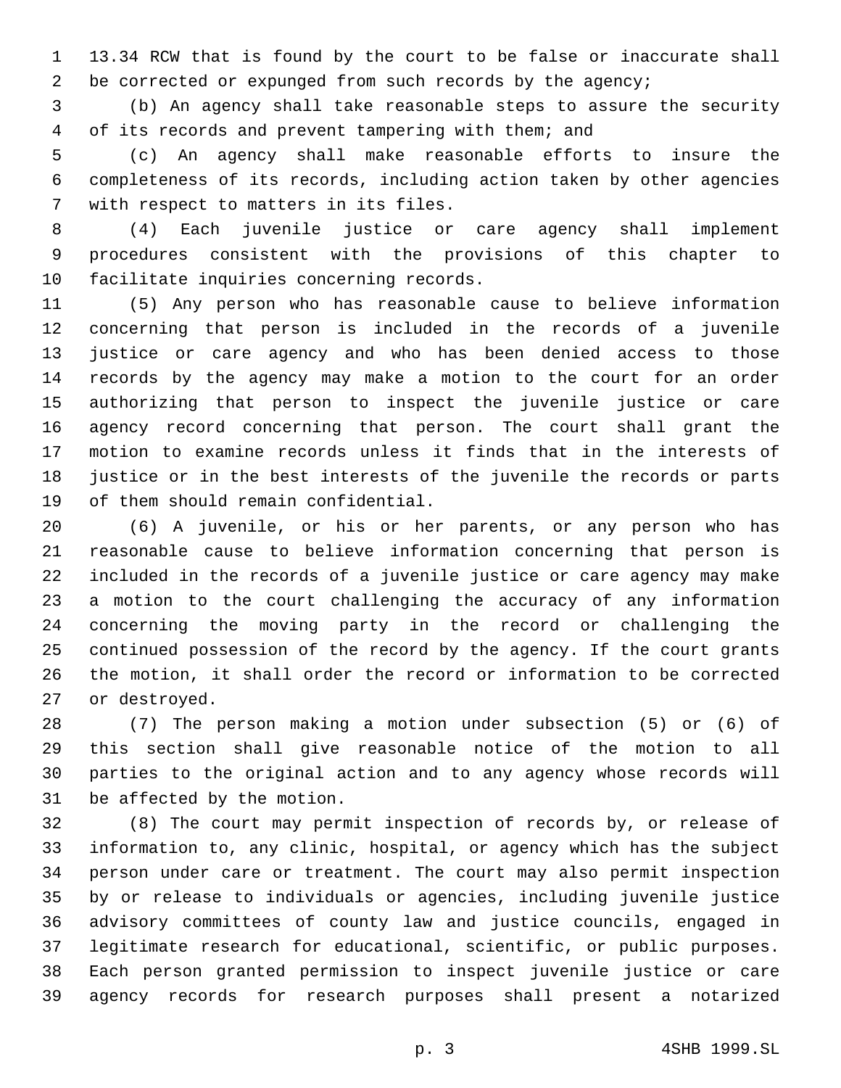13.34 RCW that is found by the court to be false or inaccurate shall 2 be corrected or expunged from such records by the agency;

 (b) An agency shall take reasonable steps to assure the security of its records and prevent tampering with them; and

 (c) An agency shall make reasonable efforts to insure the completeness of its records, including action taken by other agencies 7 with respect to matters in its files.

 (4) Each juvenile justice or care agency shall implement procedures consistent with the provisions of this chapter to 10 facilitate inquiries concerning records.

 (5) Any person who has reasonable cause to believe information concerning that person is included in the records of a juvenile justice or care agency and who has been denied access to those records by the agency may make a motion to the court for an order authorizing that person to inspect the juvenile justice or care agency record concerning that person. The court shall grant the motion to examine records unless it finds that in the interests of justice or in the best interests of the juvenile the records or parts 19 of them should remain confidential.

 (6) A juvenile, or his or her parents, or any person who has reasonable cause to believe information concerning that person is included in the records of a juvenile justice or care agency may make a motion to the court challenging the accuracy of any information concerning the moving party in the record or challenging the continued possession of the record by the agency. If the court grants the motion, it shall order the record or information to be corrected 27 or destroyed.

 (7) The person making a motion under subsection (5) or (6) of this section shall give reasonable notice of the motion to all parties to the original action and to any agency whose records will 31 be affected by the motion.

 (8) The court may permit inspection of records by, or release of information to, any clinic, hospital, or agency which has the subject person under care or treatment. The court may also permit inspection by or release to individuals or agencies, including juvenile justice advisory committees of county law and justice councils, engaged in legitimate research for educational, scientific, or public purposes. Each person granted permission to inspect juvenile justice or care agency records for research purposes shall present a notarized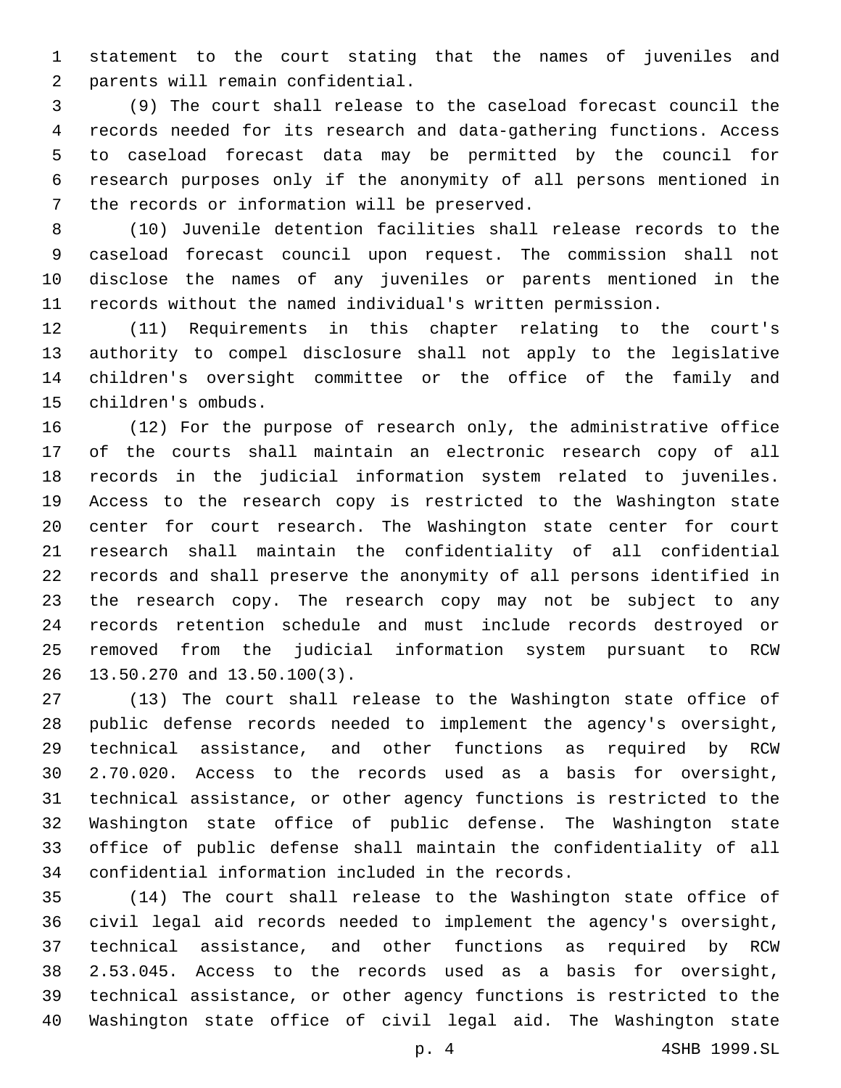statement to the court stating that the names of juveniles and parents will remain confidential.2

 (9) The court shall release to the caseload forecast council the records needed for its research and data-gathering functions. Access to caseload forecast data may be permitted by the council for research purposes only if the anonymity of all persons mentioned in 7 the records or information will be preserved.

 (10) Juvenile detention facilities shall release records to the caseload forecast council upon request. The commission shall not disclose the names of any juveniles or parents mentioned in the records without the named individual's written permission.

 (11) Requirements in this chapter relating to the court's authority to compel disclosure shall not apply to the legislative children's oversight committee or the office of the family and children's ombuds.15

 (12) For the purpose of research only, the administrative office of the courts shall maintain an electronic research copy of all records in the judicial information system related to juveniles. Access to the research copy is restricted to the Washington state center for court research. The Washington state center for court research shall maintain the confidentiality of all confidential records and shall preserve the anonymity of all persons identified in the research copy. The research copy may not be subject to any records retention schedule and must include records destroyed or removed from the judicial information system pursuant to RCW 26 13.50.270 and 13.50.100(3).

 (13) The court shall release to the Washington state office of public defense records needed to implement the agency's oversight, technical assistance, and other functions as required by RCW 2.70.020. Access to the records used as a basis for oversight, technical assistance, or other agency functions is restricted to the Washington state office of public defense. The Washington state office of public defense shall maintain the confidentiality of all 34 confidential information included in the records.

 (14) The court shall release to the Washington state office of civil legal aid records needed to implement the agency's oversight, technical assistance, and other functions as required by RCW 2.53.045. Access to the records used as a basis for oversight, technical assistance, or other agency functions is restricted to the Washington state office of civil legal aid. The Washington state

p. 4 4SHB 1999.SL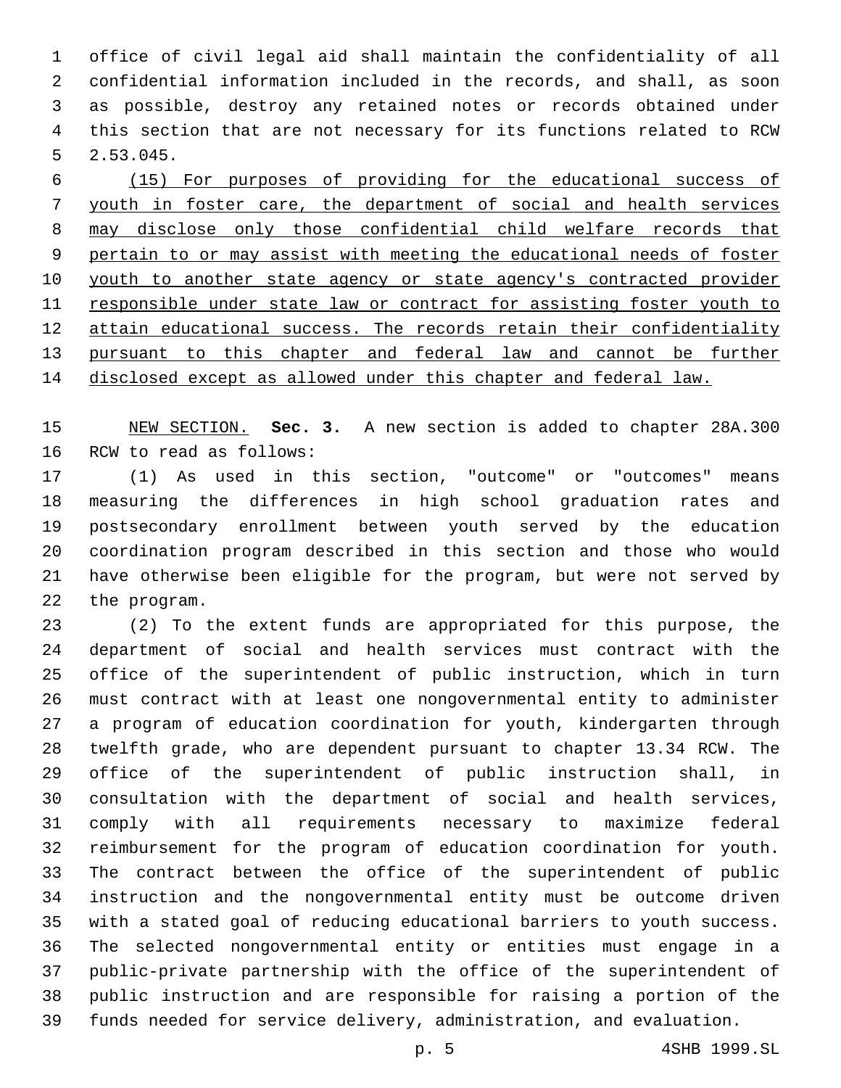office of civil legal aid shall maintain the confidentiality of all confidential information included in the records, and shall, as soon as possible, destroy any retained notes or records obtained under this section that are not necessary for its functions related to RCW  $5 \quad 2.53.045.$ 

 (15) For purposes of providing for the educational success of youth in foster care, the department of social and health services may disclose only those confidential child welfare records that pertain to or may assist with meeting the educational needs of foster youth to another state agency or state agency's contracted provider responsible under state law or contract for assisting foster youth to attain educational success. The records retain their confidentiality pursuant to this chapter and federal law and cannot be further disclosed except as allowed under this chapter and federal law.

 NEW SECTION. **Sec. 3.** A new section is added to chapter 28A.300 16 RCW to read as follows:

 (1) As used in this section, "outcome" or "outcomes" means measuring the differences in high school graduation rates and postsecondary enrollment between youth served by the education coordination program described in this section and those who would have otherwise been eligible for the program, but were not served by 22 the program.

 (2) To the extent funds are appropriated for this purpose, the department of social and health services must contract with the office of the superintendent of public instruction, which in turn must contract with at least one nongovernmental entity to administer a program of education coordination for youth, kindergarten through twelfth grade, who are dependent pursuant to chapter 13.34 RCW. The office of the superintendent of public instruction shall, in consultation with the department of social and health services, comply with all requirements necessary to maximize federal reimbursement for the program of education coordination for youth. The contract between the office of the superintendent of public instruction and the nongovernmental entity must be outcome driven with a stated goal of reducing educational barriers to youth success. The selected nongovernmental entity or entities must engage in a public-private partnership with the office of the superintendent of public instruction and are responsible for raising a portion of the funds needed for service delivery, administration, and evaluation.

p. 5 4SHB 1999.SL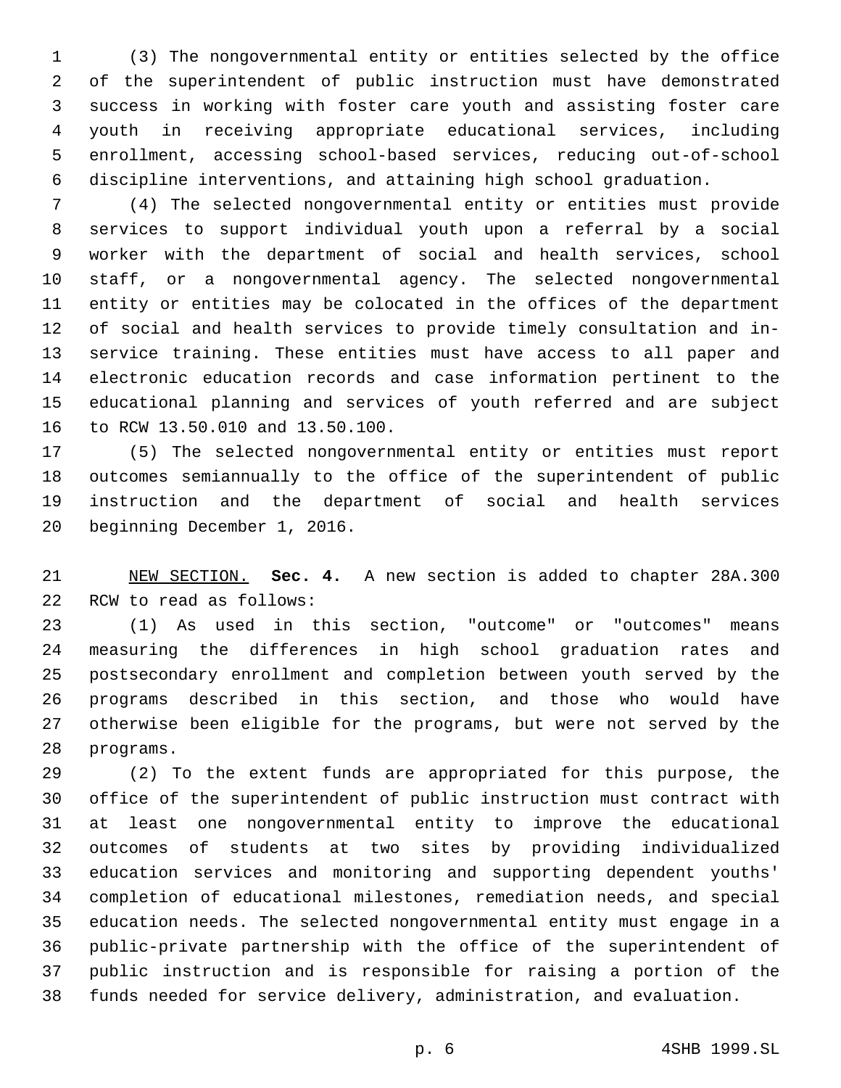(3) The nongovernmental entity or entities selected by the office of the superintendent of public instruction must have demonstrated success in working with foster care youth and assisting foster care youth in receiving appropriate educational services, including enrollment, accessing school-based services, reducing out-of-school discipline interventions, and attaining high school graduation.

 (4) The selected nongovernmental entity or entities must provide services to support individual youth upon a referral by a social worker with the department of social and health services, school staff, or a nongovernmental agency. The selected nongovernmental entity or entities may be colocated in the offices of the department of social and health services to provide timely consultation and in- service training. These entities must have access to all paper and electronic education records and case information pertinent to the educational planning and services of youth referred and are subject 16 to RCW 13.50.010 and 13.50.100.

 (5) The selected nongovernmental entity or entities must report outcomes semiannually to the office of the superintendent of public instruction and the department of social and health services 20 beginning December 1, 2016.

 NEW SECTION. **Sec. 4.** A new section is added to chapter 28A.300 22 RCW to read as follows:

 (1) As used in this section, "outcome" or "outcomes" means measuring the differences in high school graduation rates and postsecondary enrollment and completion between youth served by the programs described in this section, and those who would have otherwise been eligible for the programs, but were not served by the 28 programs.

 (2) To the extent funds are appropriated for this purpose, the office of the superintendent of public instruction must contract with at least one nongovernmental entity to improve the educational outcomes of students at two sites by providing individualized education services and monitoring and supporting dependent youths' completion of educational milestones, remediation needs, and special education needs. The selected nongovernmental entity must engage in a public-private partnership with the office of the superintendent of public instruction and is responsible for raising a portion of the funds needed for service delivery, administration, and evaluation.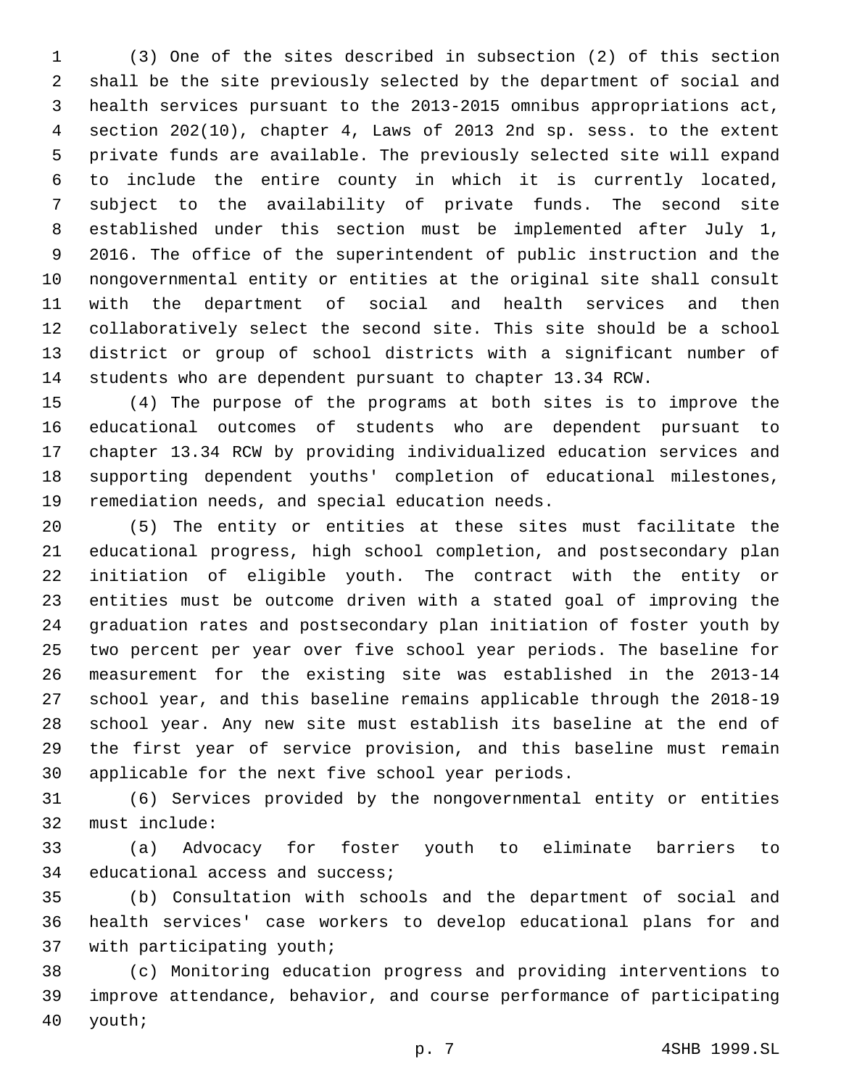(3) One of the sites described in subsection (2) of this section shall be the site previously selected by the department of social and health services pursuant to the 2013-2015 omnibus appropriations act, section 202(10), chapter 4, Laws of 2013 2nd sp. sess. to the extent private funds are available. The previously selected site will expand to include the entire county in which it is currently located, subject to the availability of private funds. The second site established under this section must be implemented after July 1, 2016. The office of the superintendent of public instruction and the nongovernmental entity or entities at the original site shall consult with the department of social and health services and then collaboratively select the second site. This site should be a school district or group of school districts with a significant number of students who are dependent pursuant to chapter 13.34 RCW.

 (4) The purpose of the programs at both sites is to improve the educational outcomes of students who are dependent pursuant to chapter 13.34 RCW by providing individualized education services and supporting dependent youths' completion of educational milestones, 19 remediation needs, and special education needs.

 (5) The entity or entities at these sites must facilitate the educational progress, high school completion, and postsecondary plan initiation of eligible youth. The contract with the entity or entities must be outcome driven with a stated goal of improving the graduation rates and postsecondary plan initiation of foster youth by two percent per year over five school year periods. The baseline for measurement for the existing site was established in the 2013-14 school year, and this baseline remains applicable through the 2018-19 school year. Any new site must establish its baseline at the end of the first year of service provision, and this baseline must remain 30 applicable for the next five school year periods.

 (6) Services provided by the nongovernmental entity or entities 32 must include:

 (a) Advocacy for foster youth to eliminate barriers to 34 educational access and success;

 (b) Consultation with schools and the department of social and health services' case workers to develop educational plans for and 37 with participating youth;

 (c) Monitoring education progress and providing interventions to improve attendance, behavior, and course performance of participating 40 youth;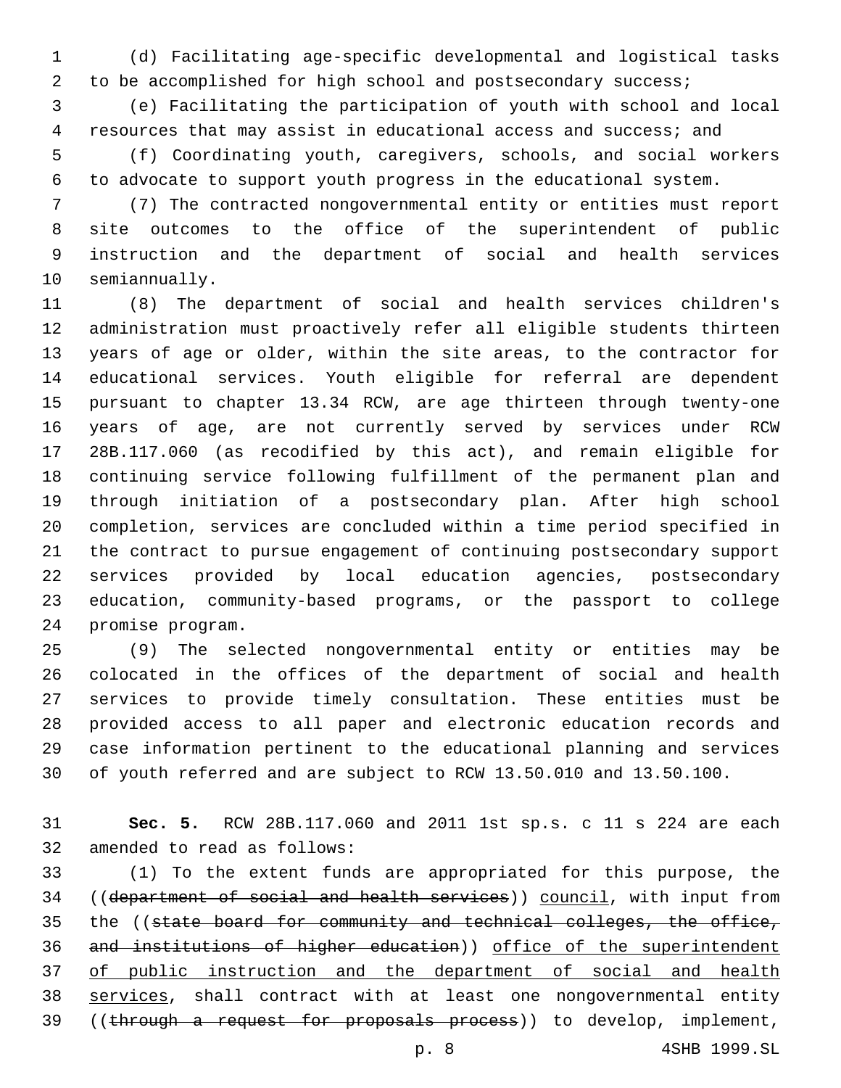(d) Facilitating age-specific developmental and logistical tasks to be accomplished for high school and postsecondary success;

 (e) Facilitating the participation of youth with school and local resources that may assist in educational access and success; and

 (f) Coordinating youth, caregivers, schools, and social workers to advocate to support youth progress in the educational system.

 (7) The contracted nongovernmental entity or entities must report site outcomes to the office of the superintendent of public instruction and the department of social and health services 10 semiannually.

 (8) The department of social and health services children's administration must proactively refer all eligible students thirteen years of age or older, within the site areas, to the contractor for educational services. Youth eligible for referral are dependent pursuant to chapter 13.34 RCW, are age thirteen through twenty-one years of age, are not currently served by services under RCW 28B.117.060 (as recodified by this act), and remain eligible for continuing service following fulfillment of the permanent plan and through initiation of a postsecondary plan. After high school completion, services are concluded within a time period specified in the contract to pursue engagement of continuing postsecondary support services provided by local education agencies, postsecondary education, community-based programs, or the passport to college 24 promise program.

 (9) The selected nongovernmental entity or entities may be colocated in the offices of the department of social and health services to provide timely consultation. These entities must be provided access to all paper and electronic education records and case information pertinent to the educational planning and services of youth referred and are subject to RCW 13.50.010 and 13.50.100.

 **Sec. 5.** RCW 28B.117.060 and 2011 1st sp.s. c 11 s 224 are each 32 amended to read as follows:

 (1) To the extent funds are appropriated for this purpose, the ((department of social and health services)) council, with input from 35 the ((state board for community and technical colleges, the office, and institutions of higher education)) office of the superintendent 37 of public instruction and the department of social and health 38 services, shall contract with at least one nongovernmental entity 39 ((through a request for proposals process)) to develop, implement,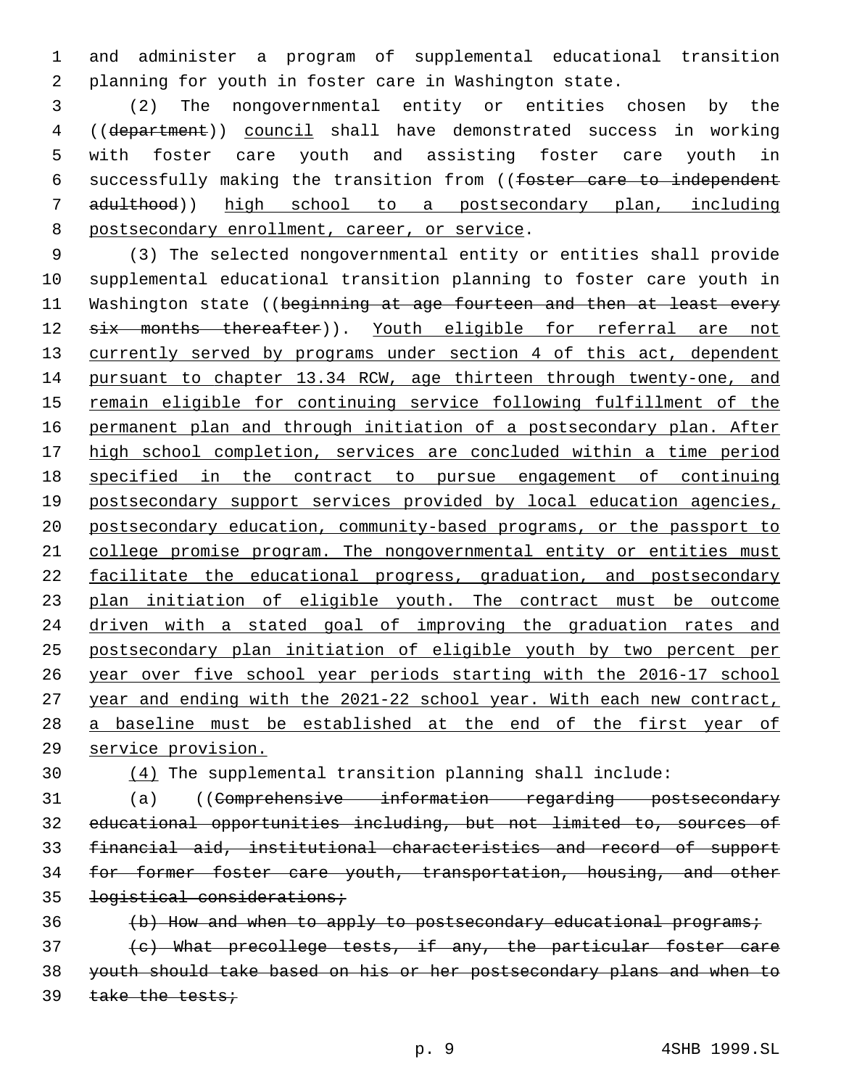and administer a program of supplemental educational transition planning for youth in foster care in Washington state.

 (2) The nongovernmental entity or entities chosen by the ((department)) council shall have demonstrated success in working with foster care youth and assisting foster care youth in successfully making the transition from ((foster care to independent adulthood)) high school to a postsecondary plan, including 8 postsecondary enrollment, career, or service.

 (3) The selected nongovernmental entity or entities shall provide supplemental educational transition planning to foster care youth in 11 Washington state ((beginning at age fourteen and then at least every 12 six months thereafter)). Youth eligible for referral are not 13 currently served by programs under section 4 of this act, dependent 14 pursuant to chapter 13.34 RCW, age thirteen through twenty-one, and remain eligible for continuing service following fulfillment of the permanent plan and through initiation of a postsecondary plan. After high school completion, services are concluded within a time period specified in the contract to pursue engagement of continuing 19 postsecondary support services provided by local education agencies, postsecondary education, community-based programs, or the passport to college promise program. The nongovernmental entity or entities must 22 facilitate the educational progress, graduation, and postsecondary plan initiation of eligible youth. The contract must be outcome 24 driven with a stated goal of improving the graduation rates and postsecondary plan initiation of eligible youth by two percent per year over five school year periods starting with the 2016-17 school year and ending with the 2021-22 school year. With each new contract, a baseline must be established at the end of the first year of service provision.

(4) The supplemental transition planning shall include:

 (a) ((Comprehensive information regarding postsecondary educational opportunities including, but not limited to, sources of financial aid, institutional characteristics and record of support for former foster care youth, transportation, housing, and other logistical considerations;

36 (b) How and when to apply to postsecondary educational programs; (c) What precollege tests, if any, the particular foster care youth should take based on his or her postsecondary plans and when to 39 take the tests;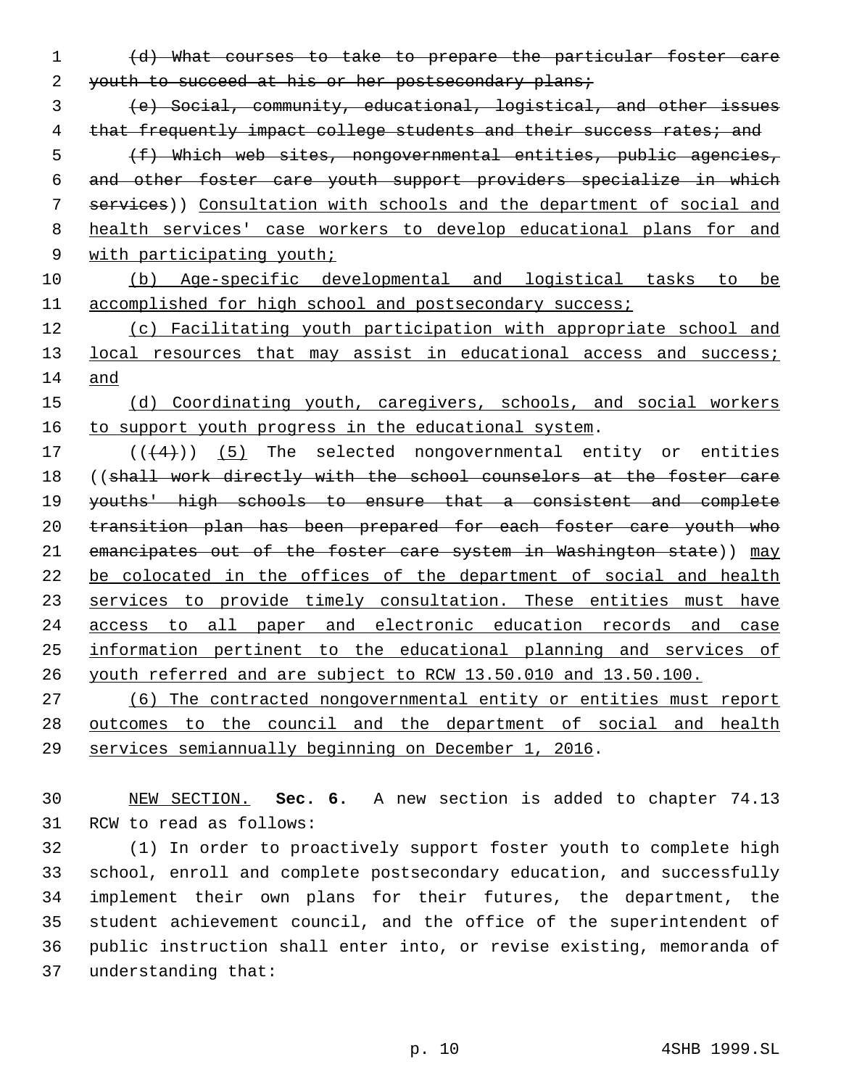(d) What courses to take to prepare the particular foster care 2 youth to succeed at his or her postsecondary plans;

 (e) Social, community, educational, logistical, and other issues 4 that frequently impact college students and their success rates; and

 (f) Which web sites, nongovernmental entities, public agencies, and other foster care youth support providers specialize in which services)) Consultation with schools and the department of social and health services' case workers to develop educational plans for and 9 with participating youth;

 (b) Age-specific developmental and logistical tasks to be 11 accomplished for high school and postsecondary success;

 (c) Facilitating youth participation with appropriate school and 13 local resources that may assist in educational access and success; and

 (d) Coordinating youth, caregivers, schools, and social workers 16 to support youth progress in the educational system.

17  $((+4))$   $(5)$  The selected nongovernmental entity or entities 18 ((shall work directly with the school counselors at the foster care youths' high schools to ensure that a consistent and complete 20 transition plan has been prepared for each foster care youth who 21 emancipates out of the foster care system in Washington state)) may be colocated in the offices of the department of social and health 23 services to provide timely consultation. These entities must have access to all paper and electronic education records and case information pertinent to the educational planning and services of youth referred and are subject to RCW 13.50.010 and 13.50.100.

 (6) The contracted nongovernmental entity or entities must report outcomes to the council and the department of social and health services semiannually beginning on December 1, 2016.

 NEW SECTION. **Sec. 6.** A new section is added to chapter 74.13 31 RCW to read as follows:

 (1) In order to proactively support foster youth to complete high school, enroll and complete postsecondary education, and successfully implement their own plans for their futures, the department, the student achievement council, and the office of the superintendent of public instruction shall enter into, or revise existing, memoranda of 37 understanding that: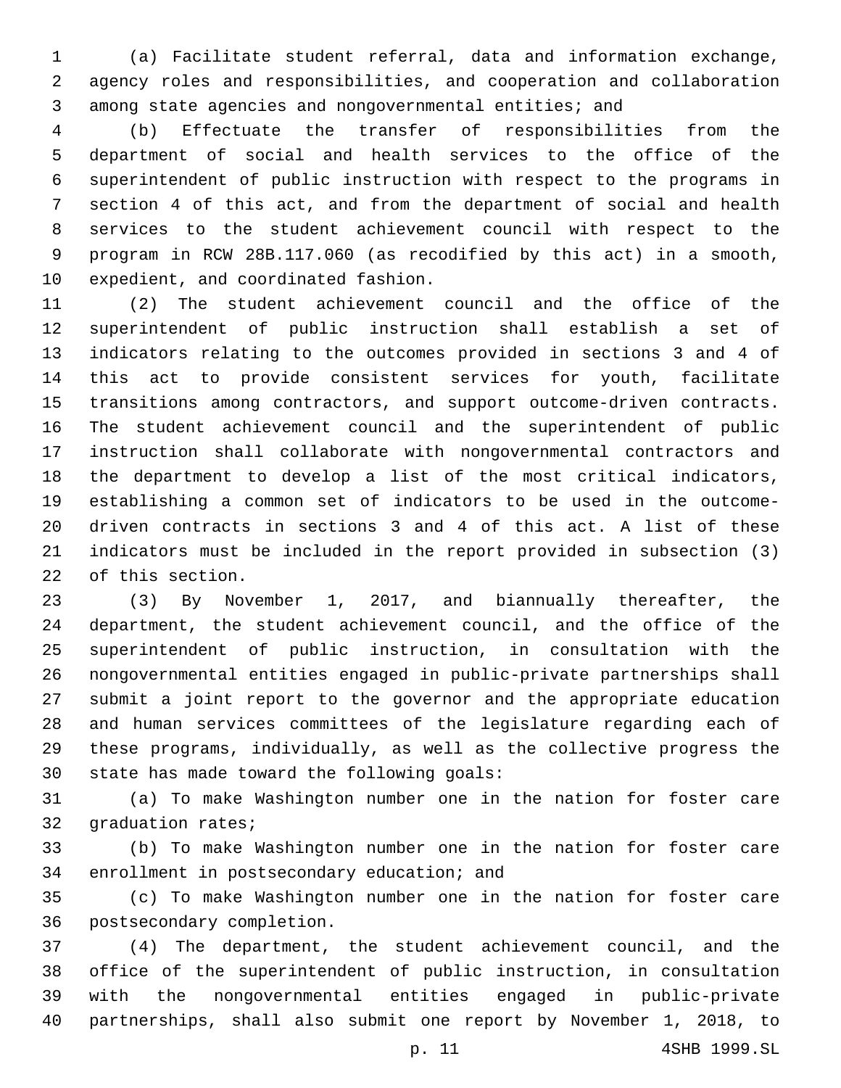(a) Facilitate student referral, data and information exchange, agency roles and responsibilities, and cooperation and collaboration among state agencies and nongovernmental entities; and

 (b) Effectuate the transfer of responsibilities from the department of social and health services to the office of the superintendent of public instruction with respect to the programs in section 4 of this act, and from the department of social and health services to the student achievement council with respect to the program in RCW 28B.117.060 (as recodified by this act) in a smooth, 10 expedient, and coordinated fashion.

 (2) The student achievement council and the office of the superintendent of public instruction shall establish a set of indicators relating to the outcomes provided in sections 3 and 4 of this act to provide consistent services for youth, facilitate transitions among contractors, and support outcome-driven contracts. The student achievement council and the superintendent of public instruction shall collaborate with nongovernmental contractors and the department to develop a list of the most critical indicators, establishing a common set of indicators to be used in the outcome- driven contracts in sections 3 and 4 of this act. A list of these indicators must be included in the report provided in subsection (3) 22 of this section.

 (3) By November 1, 2017, and biannually thereafter, the department, the student achievement council, and the office of the superintendent of public instruction, in consultation with the nongovernmental entities engaged in public-private partnerships shall submit a joint report to the governor and the appropriate education and human services committees of the legislature regarding each of these programs, individually, as well as the collective progress the 30 state has made toward the following goals:

 (a) To make Washington number one in the nation for foster care 32 graduation rates;

 (b) To make Washington number one in the nation for foster care 34 enrollment in postsecondary education; and

 (c) To make Washington number one in the nation for foster care 36 postsecondary completion.

 (4) The department, the student achievement council, and the office of the superintendent of public instruction, in consultation with the nongovernmental entities engaged in public-private partnerships, shall also submit one report by November 1, 2018, to

p. 11 4SHB 1999.SL